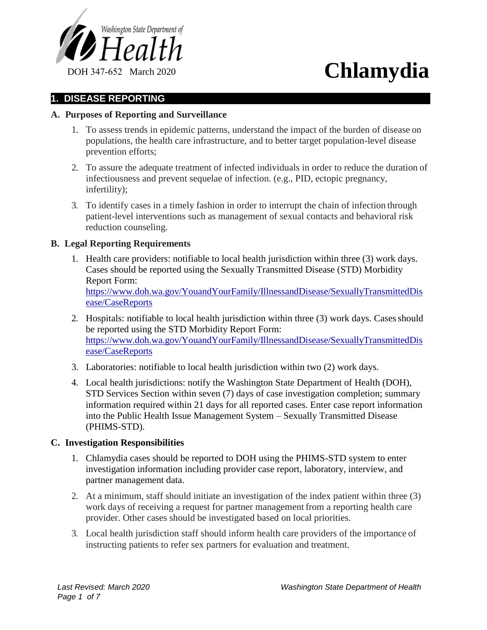

# **1. DISEASE REPORTING**

# **A. Purposes of Reporting and Surveillance**

- 1. To assess trends in epidemic patterns, understand the impact of the burden of disease on populations, the health care infrastructure, and to better target population-level disease prevention efforts;
- 2. To assure the adequate treatment of infected individuals in order to reduce the duration of infectiousness and prevent sequelae of infection. (e.g., PID, ectopic pregnancy, infertility);
- 3. To identify cases in a timely fashion in order to interrupt the chain of infection through patient-level interventions such as management of sexual contacts and behavioral risk reduction counseling.

# **B. Legal Reporting Requirements**

- 1. Health care providers: notifiable to local health jurisdiction within three (3) work days. Cases should be reported using the Sexually Transmitted Disease (STD) Morbidity Report Form: https://www.doh.wa.gov/YouandYourFamily/IllnessandDisease/SexuallyTransmittedDis ease/CaseReports
- 2. Hospitals: notifiable to local health jurisdiction within three (3) work days. Cases should be reported using the STD Morbidity Report Form: https://www.doh.wa.gov/YouandYourFamily/IllnessandDisease/SexuallyTransmittedDis ease/CaseReports
- 3. Laboratories: notifiable to local health jurisdiction within two (2) work days.
- 4. Local health jurisdictions: notify the Washington State Department of Health (DOH), STD Services Section within seven (7) days of case investigation completion; summary information required within 21 days for all reported cases. Enter case report information into the Public Health Issue Management System – Sexually Transmitted Disease (PHIMS-STD).

## **C. Investigation Responsibilities**

- 1. Chlamydia cases should be reported to DOH using the PHIMS-STD system to enter investigation information including provider case report, laboratory, interview, and partner management data.
- 2. At a minimum, staff should initiate an investigation of the index patient within three (3) work days of receiving a request for partner management from a reporting health care provider. Other cases should be investigated based on local priorities.
- 3. Local health jurisdiction staff should inform health care providers of the importance of instructing patients to refer sex partners for evaluation and treatment.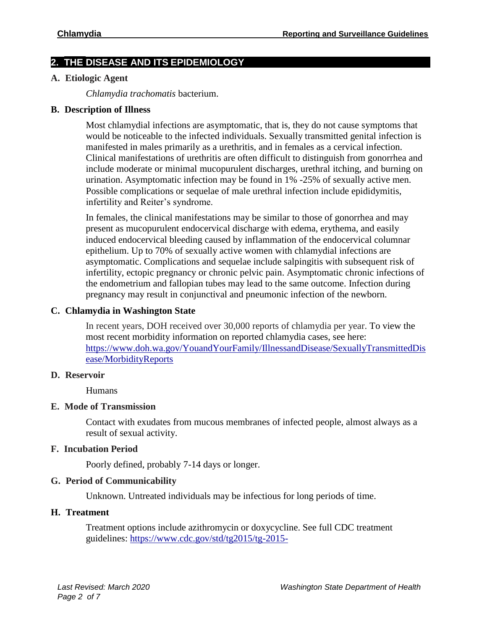# **2. THE DISEASE AND ITS EPIDEMIOLOGY**

## **A. Etiologic Agent**

*Chlamydia trachomatis* bacterium.

## **B. Description of Illness**

Most chlamydial infections are asymptomatic, that is, they do not cause symptoms that would be noticeable to the infected individuals. Sexually transmitted genital infection is manifested in males primarily as a urethritis, and in females as a cervical infection. Clinical manifestations of urethritis are often difficult to distinguish from gonorrhea and include moderate or minimal mucopurulent discharges, urethral itching, and burning on urination. Asymptomatic infection may be found in 1% -25% of sexually active men. Possible complications or sequelae of male urethral infection include epididymitis, infertility and Reiter's syndrome.

In females, the clinical manifestations may be similar to those of gonorrhea and may present as mucopurulent endocervical discharge with edema, erythema, and easily induced endocervical bleeding caused by inflammation of the endocervical columnar epithelium. Up to 70% of sexually active women with chlamydial infections are asymptomatic. Complications and sequelae include salpingitis with subsequent risk of infertility, ectopic pregnancy or chronic pelvic pain. Asymptomatic chronic infections of the endometrium and fallopian tubes may lead to the same outcome. Infection during pregnancy may result in conjunctival and pneumonic infection of the newborn.

# **C. Chlamydia in Washington State**

In recent years, DOH received over 30,000 reports of chlamydia per year. To view the most recent morbidity information on reported chlamydia cases, see here: https://www.doh.wa.gov/YouandYourFamily/IllnessandDisease/SexuallyTransmittedDis ease/MorbidityReports

## **D. Reservoir**

Humans

# **E. Mode of Transmission**

Contact with exudates from mucous membranes of infected people, almost always as a result of sexual activity.

## **F. Incubation Period**

Poorly defined, probably 7-14 days or longer.

## **G. Period of Communicability**

Unknown. Untreated individuals may be infectious for long periods of time.

# **H. Treatment**

Treatment options include azithromycin or doxycycline. See full CDC treatment guidelines: https://www.cdc.gov/std/tg2015/tg-2015-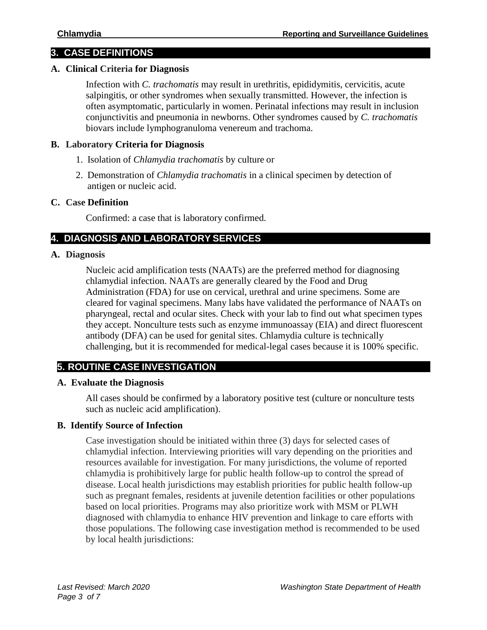# **3. CASE DEFINITIONS**

# **A. Clinical Criteria for Diagnosis**

Infection with *C. trachomatis* may result in urethritis, epididymitis, cervicitis, acute salpingitis, or other syndromes when sexually transmitted. However, the infection is often asymptomatic, particularly in women. Perinatal infections may result in inclusion conjunctivitis and pneumonia in newborns. Other syndromes caused by *C. trachomatis*  biovars include lymphogranuloma venereum and trachoma.

# **B. Laboratory Criteria for Diagnosis**

- 1. Isolation of *Chlamydia trachomatis* by culture or
- 2. Demonstration of *Chlamydia trachomatis* in a clinical specimen by detection of antigen or nucleic acid.

#### **C. Case Definition**

Confirmed: a case that is laboratory confirmed.

# **4. DIAGNOSIS AND LABORATORY SERVICES**

#### **A. Diagnosis**

Nucleic acid amplification tests (NAATs) are the preferred method for diagnosing chlamydial infection. NAATs are generally cleared by the Food and Drug Administration (FDA) for use on cervical, urethral and urine specimens. Some are cleared for vaginal specimens. Many labs have validated the performance of NAATs on pharyngeal, rectal and ocular sites. Check with your lab to find out what specimen types they accept. Nonculture tests such as enzyme immunoassay (EIA) and direct fluorescent antibody (DFA) can be used for genital sites. Chlamydia culture is technically challenging, but it is recommended for medical-legal cases because it is 100% specific.

# **5. ROUTINE CASE INVESTIGATION**

## **A. Evaluate the Diagnosis**

All cases should be confirmed by a laboratory positive test (culture or nonculture tests such as nucleic acid amplification).

# **B. Identify Source of Infection**

Case investigation should be initiated within three (3) days for selected cases of chlamydial infection. Interviewing priorities will vary depending on the priorities and resources available for investigation. For many jurisdictions, the volume of reported chlamydia is prohibitively large for public health follow-up to control the spread of disease. Local health jurisdictions may establish priorities for public health follow-up such as pregnant females, residents at juvenile detention facilities or other populations based on local priorities. Programs may also prioritize work with MSM or PLWH diagnosed with chlamydia to enhance HIV prevention and linkage to care efforts with those populations. The following case investigation method is recommended to be used by local health jurisdictions: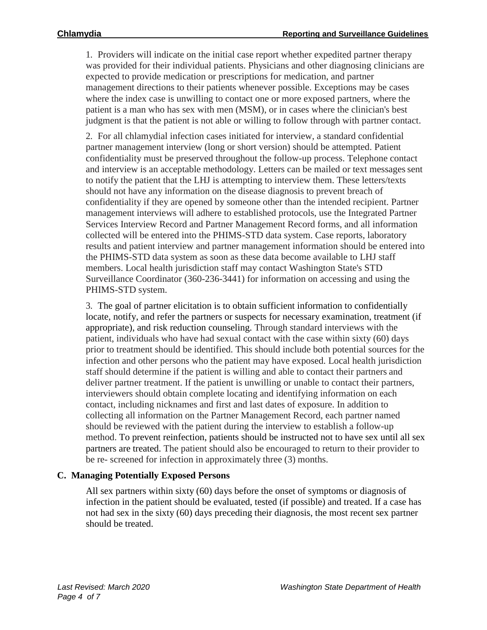1. Providers will indicate on the initial case report whether expedited partner therapy was provided for their individual patients. Physicians and other diagnosing clinicians are expected to provide medication or prescriptions for medication, and partner management directions to their patients whenever possible. Exceptions may be cases where the index case is unwilling to contact one or more exposed partners, where the patient is a man who has sex with men (MSM), or in cases where the clinician's best judgment is that the patient is not able or willing to follow through with partner contact.

2. For all chlamydial infection cases initiated for interview, a standard confidential partner management interview (long or short version) should be attempted. Patient confidentiality must be preserved throughout the follow-up process. Telephone contact and interview is an acceptable methodology. Letters can be mailed or text messages sent to notify the patient that the LHJ is attempting to interview them. These letters/texts should not have any information on the disease diagnosis to prevent breach of confidentiality if they are opened by someone other than the intended recipient. Partner management interviews will adhere to established protocols, use the Integrated Partner Services Interview Record and Partner Management Record forms, and all information collected will be entered into the PHIMS-STD data system. Case reports, laboratory results and patient interview and partner management information should be entered into the PHIMS-STD data system as soon as these data become available to LHJ staff members. Local health jurisdiction staff may contact Washington State's STD Surveillance Coordinator (360-236-3441) for information on accessing and using the PHIMS-STD system.

3. The goal of partner elicitation is to obtain sufficient information to confidentially locate, notify, and refer the partners or suspects for necessary examination, treatment (if appropriate), and risk reduction counseling. Through standard interviews with the patient, individuals who have had sexual contact with the case within sixty (60) days prior to treatment should be identified. This should include both potential sources for the infection and other persons who the patient may have exposed. Local health jurisdiction staff should determine if the patient is willing and able to contact their partners and deliver partner treatment. If the patient is unwilling or unable to contact their partners, interviewers should obtain complete locating and identifying information on each contact, including nicknames and first and last dates of exposure. In addition to collecting all information on the Partner Management Record, each partner named should be reviewed with the patient during the interview to establish a follow-up method. To prevent reinfection, patients should be instructed not to have sex until all sex partners are treated. The patient should also be encouraged to return to their provider to be re- screened for infection in approximately three (3) months.

# **C. Managing Potentially Exposed Persons**

All sex partners within sixty (60) days before the onset of symptoms or diagnosis of infection in the patient should be evaluated, tested (if possible) and treated. If a case has not had sex in the sixty (60) days preceding their diagnosis, the most recent sex partner should be treated.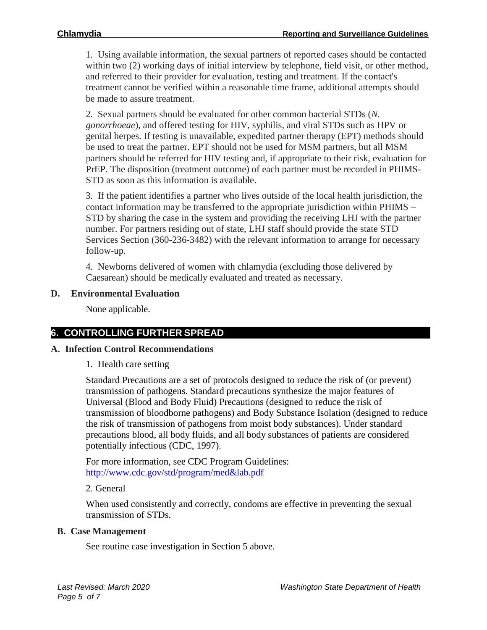1. Using available information, the sexual partners of reported cases should be contacted within two (2) working days of initial interview by telephone, field visit, or other method, and referred to their provider for evaluation, testing and treatment. If the contact's treatment cannot be verified within a reasonable time frame, additional attempts should be made to assure treatment.

2. Sexual partners should be evaluated for other common bacterial STDs (*N. gonorrhoeae*), and offered testing for HIV, syphilis, and viral STDs such as HPV or genital herpes. If testing is unavailable, expedited partner therapy (EPT) methods should be used to treat the partner. EPT should not be used for MSM partners, but all MSM partners should be referred for HIV testing and, if appropriate to their risk, evaluation for PrEP. The disposition (treatment outcome) of each partner must be recorded in PHIMS-STD as soon as this information is available.

3. If the patient identifies a partner who lives outside of the local health jurisdiction, the contact information may be transferred to the appropriate jurisdiction within PHIMS – STD by sharing the case in the system and providing the receiving LHJ with the partner number. For partners residing out of state, LHJ staff should provide the state STD Services Section (360-236-3482) with the relevant information to arrange for necessary follow-up.

4. Newborns delivered of women with chlamydia (excluding those delivered by Caesarean) should be medically evaluated and treated as necessary.

# **D. Environmental Evaluation**

None applicable.

# **6. CONTROLLING FURTHER SPREAD**

## **A. Infection Control Recommendations**

1. Health care setting

Standard Precautions are a set of protocols designed to reduce the risk of (or prevent) transmission of pathogens. Standard precautions synthesize the major features of Universal (Blood and Body Fluid) Precautions (designed to reduce the risk of transmission of bloodborne pathogens) and Body Substance Isolation (designed to reduce the risk of transmission of pathogens from moist body substances). Under standard precautions blood, all body fluids, and all body substances of patients are considered potentially infectious (CDC, 1997).

For more information, see CDC Program Guidelines: [http://www.cdc.gov/std/program/med&lab.pdf](http://www.cdc.gov/std/program/med%26lab.pdf)

2. General

When used consistently and correctly, condoms are effective in preventing the sexual transmission of STDs.

## **B. Case Management**

See routine case investigation in Section 5 above.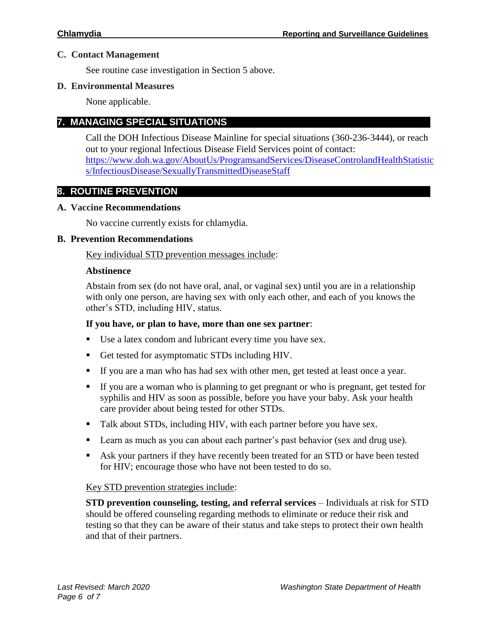# **C. Contact Management**

See routine case investigation in Section 5 above.

# **D. Environmental Measures**

None applicable.

# **7. MANAGING SPECIAL SITUATIONS**

Call the DOH Infectious Disease Mainline for special situations (360-236-3444), or reach out to your regional Infectious Disease Field Services point of contact: [https://www.doh.wa.gov/AboutUs/ProgramsandServices/DiseaseControlandHealthStatistic](https://www.doh.wa.gov/AboutUs/ProgramsandServices/DiseaseControlandHealthStatistics/InfectiousDisease/SexuallyTransmittedDiseaseStaff) [s/InfectiousDisease/SexuallyTransmittedDiseaseStaff](https://www.doh.wa.gov/AboutUs/ProgramsandServices/DiseaseControlandHealthStatistics/InfectiousDisease/SexuallyTransmittedDiseaseStaff)

# **8. ROUTINE PREVENTION**

# **A. Vaccine Recommendations**

No vaccine currently exists for chlamydia.

# **B. Prevention Recommendations**

Key individual STD prevention messages include:

# **Abstinence**

Abstain from sex (do not have oral, anal, or vaginal sex) until you are in a relationship with only one person, are having sex with only each other, and each of you knows the other's STD, including HIV, status.

# **If you have, or plan to have, more than one sex partner**:

- Use a latex condom and lubricant every time you have sex.
- Get tested for asymptomatic STDs including HIV.
- If you are a man who has had sex with other men, get tested at least once a year.
- If you are a woman who is planning to get pregnant or who is pregnant, get tested for syphilis and HIV as soon as possible, before you have your baby. Ask your health care provider about being tested for other STDs.
- Talk about STDs, including HIV, with each partner before you have sex.
- **Learn as much as you can about each partner's past behavior (sex and drug use).**
- Ask your partners if they have recently been treated for an STD or have been tested for HIV; encourage those who have not been tested to do so.

## Key STD prevention strategies include:

**STD prevention counseling, testing, and referral services** – Individuals at risk for STD should be offered counseling regarding methods to eliminate or reduce their risk and testing so that they can be aware of their status and take steps to protect their own health and that of their partners.